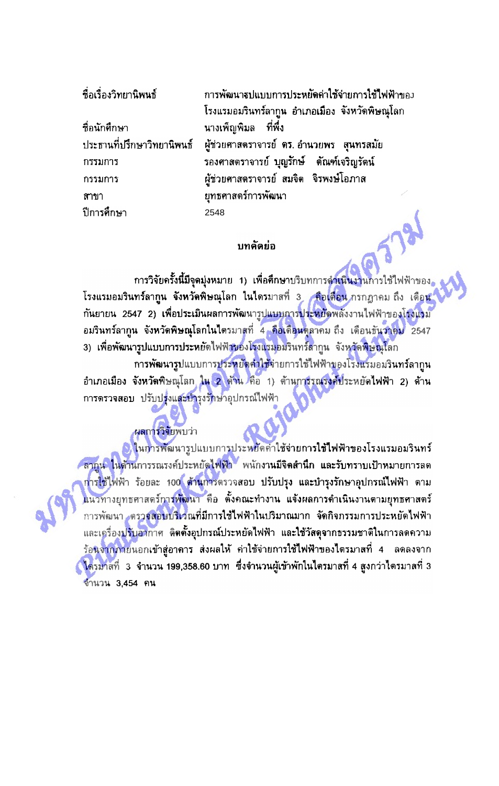|  | a a a - |                       | - 67 |
|--|---------|-----------------------|------|
|  |         | <b>ชอเรองวทยานพนธ</b> |      |

ที่อนักศึก**ษา** ประธานที่ปรึกษาวิทยานิพนธ์ กรรมการ กรรมการ สาขา ปีการศึกษา

การพัฒนารูปแบบการประหยัดค่าใช้จ่ายการใช้ไฟฟ้าของ โรงแรมอมรินทร์ลากูน อำเภอเมือง จังหวัดพิษณุโลก ้นางเพ็ญพิมล ที่พึง ผู้ช่วยศาสตราจารย์ ดร. อำนวยพร สุนทรสมัย รองศาสตราจารย์ บุญรักษ์ ดัณฑ์เจริญรัตน์ ผู้ช่วยศาสตราจารย์ สมจิต จิรพงษ์โอภาส ยุทธศาสตร์การพัฒนา 2548

## บทคัดย่อ

-<br>การวิจัยครั้งนี้มีจุดมุ่งหมาย 1) เพื่อศึกษาบริบทการด<mark>ำเนินงานการใช้ไ</mark>ฟฟ้าของ โรงแรมอมรินทร์ลา**กูน จังหวัดพิษณุโลก ในไตร**มาสที่ 3 คือเดือน กรกฎาคม ถึง เดือน ึกันยายน 2547 2) เพื่อประเมินผลการพัฒนารูปแบบการประหยัดพลังงานไฟฟ้าของโรงแรม ้อมรินทร์ลากูน จังหวัดพิษณุโลกในไตรมาสที่ 4 คือเดือนดูลาคม ถึง เดือนธันวาคม 2547 3) เพื่อพัฒนารูปแบบการประหยัดไฟฟ้าของโรงแรมอมรินทร์ลากูน จังหวัดพิษณุโลก กา**รพัฒนารูป**แบบการ<mark>ประหยัดคำใช้</mark>จ่ายการใช้ใฟฟ้าของโรงแรมอมรินทร์ลากูน อำเภอเมือง จังหวัดพิษณุโลก ใน 2 ตัวน<sup>์</sup> คือ 1) ต้านการรณรงค์ประหยัดไฟฟ้า 2) ต้าน การตรวจสอบ ปรับปรุงและบำรุงรักษาอุปกรณ์ไฟฟ้า

## ผลการวิจัยพบว่า

<mark>) ในการพั</mark>ฒนารูปแบบการประหยัดคำใช้จ่ายการใช้ไฟฟ้าของโรงแรมอมรินทร์ ี สากูน ในด้านการรณรงค์ประหยัดไฟฟ้า พนักงานมีจิตสำนึก และรับทราบเป้าหมายการลด ก<mark>ารใช้ไ</mark>ฟฟ้า ร้อยละ 100 ต้านการตรวจสอบ ปรับปรุง และบำรุงรักษาอุปกรณ์ไฟฟ้า ตาม แนวทางยุทธศาสตร์การพัฒนา คือ ตั้งคณะทำงาน แจ้งผลการดำเนินงานตามยุทธศาสตร์ การพัฒนา ตรวจสอบบริเวณที่มีการใช้ไฟฟ้าในปริมาณมาก จัดกิจกรรมการประหยัดไฟฟ้า และเครื่องปรับอากาศ ติดตั้งอุปกรณ์ประหยัดไฟฟ้า และใช้วัสดุจากธรรมชาติในการลดความ ร้อนจ<mark>ากภายนอกเข้าสู่อาคาร ส่งผลให้ ค่าใช้จ่ายการใช้ไฟฟ้าของไดรมาสที่ 4 ลดลงจาก</mark> ี่ ใตรมาสที่ 3 จำนวน 199,358.60 บาท ซึ่งจำนวนผู้เข้าพักในไตรมาสที่ 4 สูงกว่าไดรมาสที่ 3 จำนวน 3.454 คน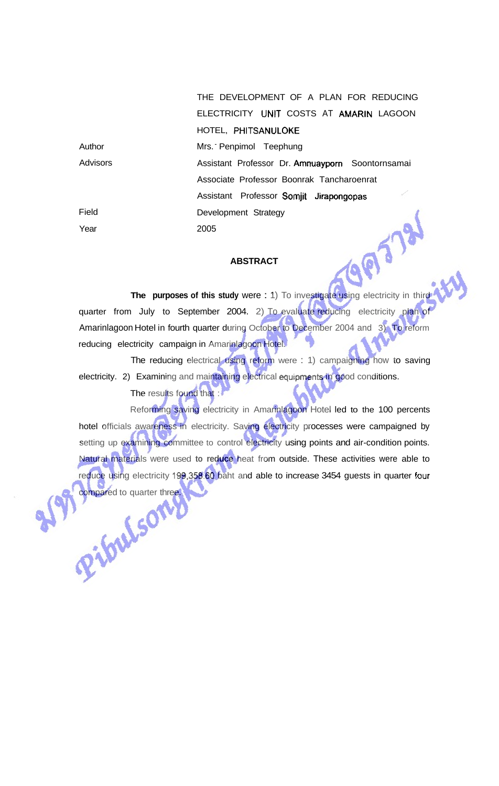THE DEVELOPMENT OF A PLAN FOR REDUCING ELECTRICITY **UNIT** COSTS AT AMARIN LAGOON HOTEL, PHITSANULOKE

| Author   | Mrs. Penpimol Teephung                           |  |
|----------|--------------------------------------------------|--|
| Advisors | Assistant Professor Dr. Amnuayporn Soontornsamai |  |
|          | Associate Professor Boonrak Tancharoenrat        |  |
|          | Assistant Professor Somjit Jirapongopas          |  |
| Field    | Development Strategy                             |  |
| Year     | 2005                                             |  |

## **ABSTRACT**

**THE PURPOSES OF this study were : 1)** To investigate using electricity in third quarter from July to September 2004. 2) To evaluate reducing electricity plan of Amarinlagoon Hotel in fourth quarter during October to December 2004 and 3) To reform reducing electricity campaign in Amarinlagoon Hotel.

The reducing electrical using reform were : 1) campaigning how to saving electricity. 2) Examining and maintaining electrical equipments in good conditions. The results found that :

Reforming saving electricity in Amarinlagoon Hotel led to the 100 percents hotel officials awareness in electricity. Saving electricity processes were campaigned by setting up examining committee to control electricity using points and air-condition points. Natural materials were used **to reduce** heat from outside. These activities were able to reduce using electricity **199,358.60** baht and able to increase 3454 guests in quarter **four**  compared to quarter three.